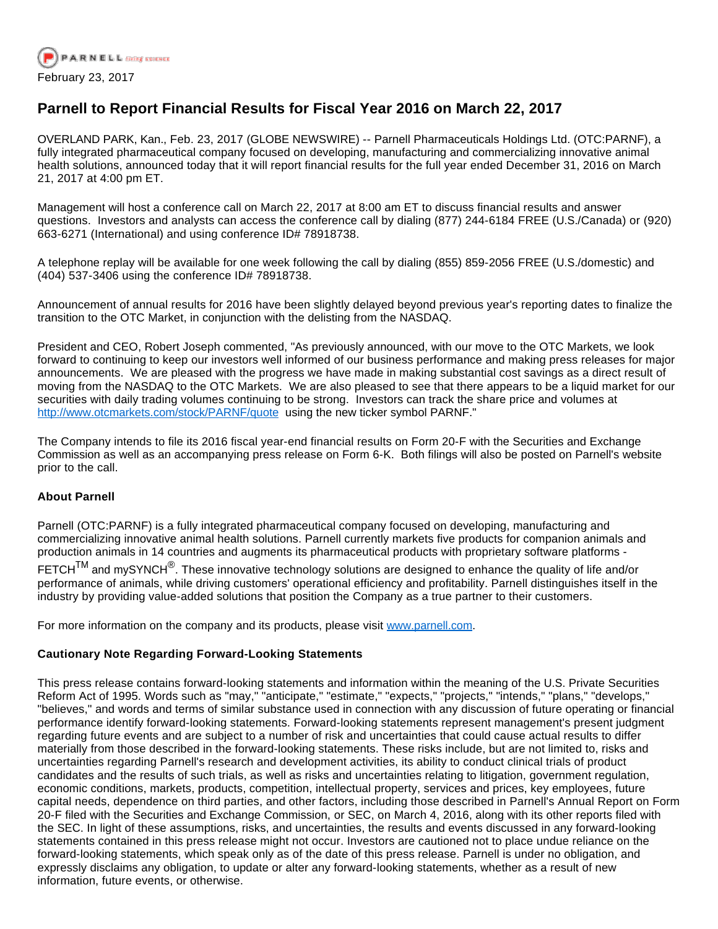

## **Parnell to Report Financial Results for Fiscal Year 2016 on March 22, 2017**

OVERLAND PARK, Kan., Feb. 23, 2017 (GLOBE NEWSWIRE) -- Parnell Pharmaceuticals Holdings Ltd. (OTC:PARNF), a fully integrated pharmaceutical company focused on developing, manufacturing and commercializing innovative animal health solutions, announced today that it will report financial results for the full year ended December 31, 2016 on March 21, 2017 at 4:00 pm ET.

Management will host a conference call on March 22, 2017 at 8:00 am ET to discuss financial results and answer questions. Investors and analysts can access the conference call by dialing (877) 244-6184 FREE (U.S./Canada) or (920) 663-6271 (International) and using conference ID# 78918738.

A telephone replay will be available for one week following the call by dialing (855) 859-2056 FREE (U.S./domestic) and (404) 537-3406 using the conference ID# 78918738.

Announcement of annual results for 2016 have been slightly delayed beyond previous year's reporting dates to finalize the transition to the OTC Market, in conjunction with the delisting from the NASDAQ.

President and CEO, Robert Joseph commented, "As previously announced, with our move to the OTC Markets, we look forward to continuing to keep our investors well informed of our business performance and making press releases for major announcements. We are pleased with the progress we have made in making substantial cost savings as a direct result of moving from the NASDAQ to the OTC Markets. We are also pleased to see that there appears to be a liquid market for our securities with daily trading volumes continuing to be strong. Investors can track the share price and volumes at [http://www.otcmarkets.com/stock/PARNF/quote](https://www.globenewswire.com/Tracker?data=5PBbfCTFjf6Wr7SkVW05wwQAUxengPFioirh0Pxgx80Vte2pPcPVGkce5yT3n5E1u6Et9lXtwfENHywnfYqC2Qh0qN_qiLyVlW5AJHzFkwmynn-QVGlhMkXQelJBs3ClhtclwL9Ebic0SZA1hjhntw==) using the new ticker symbol PARNF."

The Company intends to file its 2016 fiscal year-end financial results on Form 20-F with the Securities and Exchange Commission as well as an accompanying press release on Form 6-K. Both filings will also be posted on Parnell's website prior to the call.

## **About Parnell**

Parnell (OTC:PARNF) is a fully integrated pharmaceutical company focused on developing, manufacturing and commercializing innovative animal health solutions. Parnell currently markets five products for companion animals and production animals in 14 countries and augments its pharmaceutical products with proprietary software platforms -

FETCH $^{\text{\rm TM}}$  and mySYNCH $^{\textcircled{\textsc{}}}.$  These innovative technology solutions are designed to enhance the quality of life and/or performance of animals, while driving customers' operational efficiency and profitability. Parnell distinguishes itself in the industry by providing value-added solutions that position the Company as a true partner to their customers.

For more information on the company and its products, please visit [www.parnell.com.](https://www.globenewswire.com/Tracker?data=PHdxOHeme4VUaY1DQJv6GfFo8Iadb1lWO4URaks47IAQ36NHzqSIx5PhX0t2dRZQO09XVVeutbAWCJPdOL3I8TsWh1NPZYD9lBKXrtcUjqZ4lv4VySfqaOtO4bDOGUv0s0bFejgSY9Wg2k7bOo3fv3NyDcl3njxKuwiPXVc7SpDHiArkZ4KZs_GX733BT6mmmE5JD2CVELxOqnqmmTndtg==)

## **Cautionary Note Regarding Forward-Looking Statements**

This press release contains forward-looking statements and information within the meaning of the U.S. Private Securities Reform Act of 1995. Words such as "may," "anticipate," "estimate," "expects," "projects," "intends," "plans," "develops," "believes," and words and terms of similar substance used in connection with any discussion of future operating or financial performance identify forward-looking statements. Forward-looking statements represent management's present judgment regarding future events and are subject to a number of risk and uncertainties that could cause actual results to differ materially from those described in the forward-looking statements. These risks include, but are not limited to, risks and uncertainties regarding Parnell's research and development activities, its ability to conduct clinical trials of product candidates and the results of such trials, as well as risks and uncertainties relating to litigation, government regulation, economic conditions, markets, products, competition, intellectual property, services and prices, key employees, future capital needs, dependence on third parties, and other factors, including those described in Parnell's Annual Report on Form 20-F filed with the Securities and Exchange Commission, or SEC, on March 4, 2016, along with its other reports filed with the SEC. In light of these assumptions, risks, and uncertainties, the results and events discussed in any forward-looking statements contained in this press release might not occur. Investors are cautioned not to place undue reliance on the forward-looking statements, which speak only as of the date of this press release. Parnell is under no obligation, and expressly disclaims any obligation, to update or alter any forward-looking statements, whether as a result of new information, future events, or otherwise.